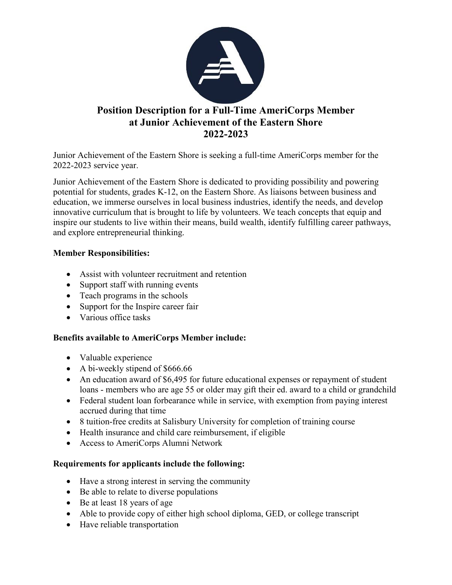

# **Position Description for a Full-Time AmeriCorps Member at Junior Achievement of the Eastern Shore 2022-2023**

Junior Achievement of the Eastern Shore is seeking a full-time AmeriCorps member for the 2022-2023 service year.

Junior Achievement of the Eastern Shore is dedicated to providing possibility and powering potential for students, grades K-12, on the Eastern Shore. As liaisons between business and education, we immerse ourselves in local business industries, identify the needs, and develop innovative curriculum that is brought to life by volunteers. We teach concepts that equip and inspire our students to live within their means, build wealth, identify fulfilling career pathways, and explore entrepreneurial thinking.

### **Member Responsibilities:**

- Assist with volunteer recruitment and retention
- Support staff with running events
- Teach programs in the schools
- Support for the Inspire career fair
- Various office tasks

#### **Benefits available to AmeriCorps Member include:**

- Valuable experience
- A bi-weekly stipend of \$666.66
- An education award of \$6,495 for future educational expenses or repayment of student loans - members who are age 55 or older may gift their ed. award to a child or grandchild
- Federal student loan forbearance while in service, with exemption from paying interest accrued during that time
- 8 tuition-free credits at Salisbury University for completion of training course
- Health insurance and child care reimbursement, if eligible
- Access to AmeriCorps Alumni Network

#### **Requirements for applicants include the following:**

- Have a strong interest in serving the community
- Be able to relate to diverse populations
- Be at least 18 years of age
- Able to provide copy of either high school diploma, GED, or college transcript
- Have reliable transportation